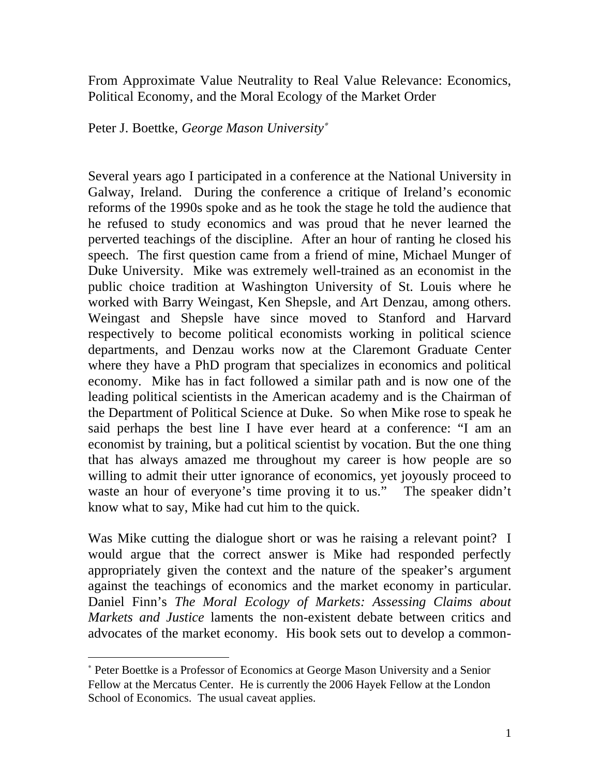From Approximate Value Neutrality to Real Value Relevance: Economics, Political Economy, and the Moral Ecology of the Market Order

Peter J. Boettke, *George Mason University*

Several years ago I participated in a conference at the National University in Galway, Ireland. During the conference a critique of Ireland's economic reforms of the 1990s spoke and as he took the stage he told the audience that he refused to study economics and was proud that he never learned the perverted teachings of the discipline. After an hour of ranting he closed his speech. The first question came from a friend of mine, Michael Munger of Duke University. Mike was extremely well-trained as an economist in the public choice tradition at Washington University of St. Louis where he worked with Barry Weingast, Ken Shepsle, and Art Denzau, among others. Weingast and Shepsle have since moved to Stanford and Harvard respectively to become political economists working in political science departments, and Denzau works now at the Claremont Graduate Center where they have a PhD program that specializes in economics and political economy. Mike has in fact followed a similar path and is now one of the leading political scientists in the American academy and is the Chairman of the Department of Political Science at Duke. So when Mike rose to speak he said perhaps the best line I have ever heard at a conference: "I am an economist by training, but a political scientist by vocation. But the one thing that has always amazed me throughout my career is how people are so willing to admit their utter ignorance of economics, yet joyously proceed to waste an hour of everyone's time proving it to us." The speaker didn't know what to say, Mike had cut him to the quick.

Was Mike cutting the dialogue short or was he raising a relevant point? I would argue that the correct answer is Mike had responded perfectly appropriately given the context and the nature of the speaker's argument against the teachings of economics and the market economy in particular. Daniel Finn's *The Moral Ecology of Markets: Assessing Claims about Markets and Justice* laments the non-existent debate between critics and advocates of the market economy. His book sets out to develop a common-

 $\overline{a}$ 

 Peter Boettke is a Professor of Economics at George Mason University and a Senior Fellow at the Mercatus Center. He is currently the 2006 Hayek Fellow at the London School of Economics. The usual caveat applies.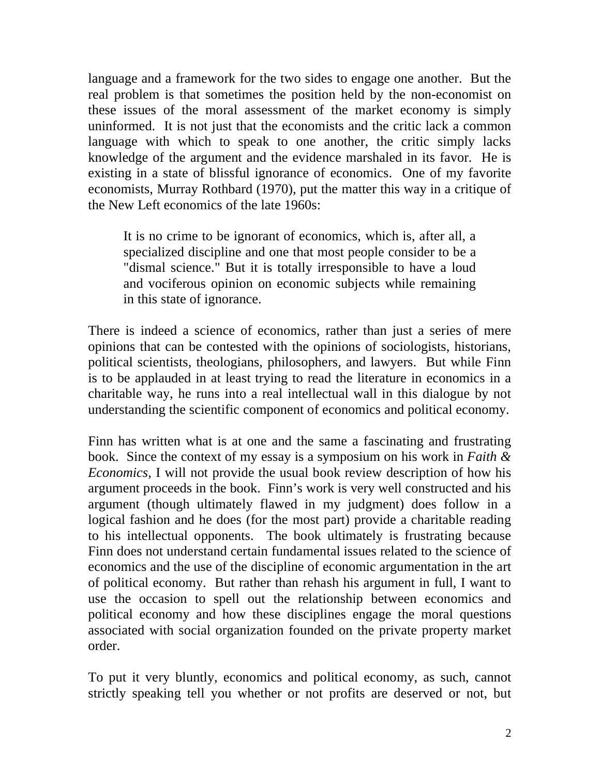language and a framework for the two sides to engage one another. But the real problem is that sometimes the position held by the non-economist on these issues of the moral assessment of the market economy is simply uninformed. It is not just that the economists and the critic lack a common language with which to speak to one another, the critic simply lacks knowledge of the argument and the evidence marshaled in its favor. He is existing in a state of blissful ignorance of economics. One of my favorite economists, Murray Rothbard (1970), put the matter this way in a critique of the New Left economics of the late 1960s:

It is no crime to be ignorant of economics, which is, after all, a specialized discipline and one that most people consider to be a "dismal science." But it is totally irresponsible to have a loud and vociferous opinion on economic subjects while remaining in this state of ignorance.

There is indeed a science of economics, rather than just a series of mere opinions that can be contested with the opinions of sociologists, historians, political scientists, theologians, philosophers, and lawyers. But while Finn is to be applauded in at least trying to read the literature in economics in a charitable way, he runs into a real intellectual wall in this dialogue by not understanding the scientific component of economics and political economy.

Finn has written what is at one and the same a fascinating and frustrating book. Since the context of my essay is a symposium on his work in *Faith & Economics*, I will not provide the usual book review description of how his argument proceeds in the book. Finn's work is very well constructed and his argument (though ultimately flawed in my judgment) does follow in a logical fashion and he does (for the most part) provide a charitable reading to his intellectual opponents. The book ultimately is frustrating because Finn does not understand certain fundamental issues related to the science of economics and the use of the discipline of economic argumentation in the art of political economy. But rather than rehash his argument in full, I want to use the occasion to spell out the relationship between economics and political economy and how these disciplines engage the moral questions associated with social organization founded on the private property market order.

To put it very bluntly, economics and political economy, as such, cannot strictly speaking tell you whether or not profits are deserved or not, but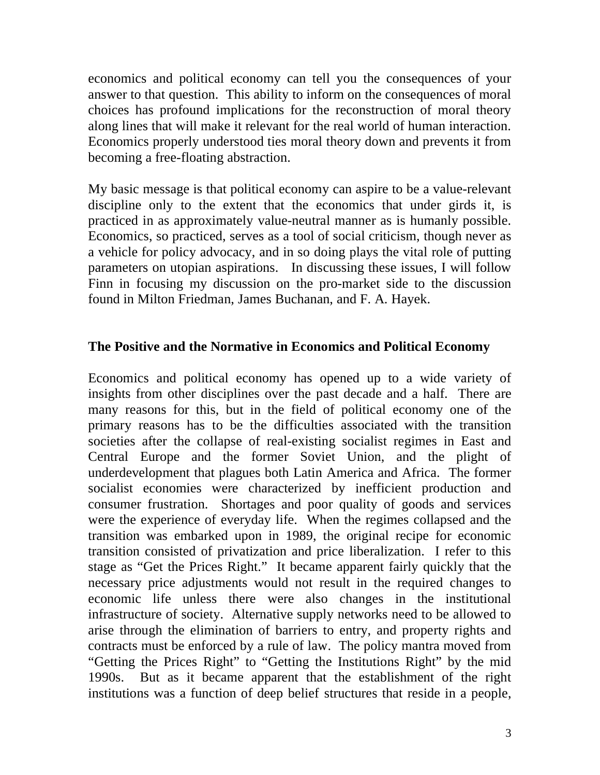economics and political economy can tell you the consequences of your answer to that question. This ability to inform on the consequences of moral choices has profound implications for the reconstruction of moral theory along lines that will make it relevant for the real world of human interaction. Economics properly understood ties moral theory down and prevents it from becoming a free-floating abstraction.

My basic message is that political economy can aspire to be a value-relevant discipline only to the extent that the economics that under girds it, is practiced in as approximately value-neutral manner as is humanly possible. Economics, so practiced, serves as a tool of social criticism, though never as a vehicle for policy advocacy, and in so doing plays the vital role of putting parameters on utopian aspirations. In discussing these issues, I will follow Finn in focusing my discussion on the pro-market side to the discussion found in Milton Friedman, James Buchanan, and F. A. Hayek.

## **The Positive and the Normative in Economics and Political Economy**

Economics and political economy has opened up to a wide variety of insights from other disciplines over the past decade and a half. There are many reasons for this, but in the field of political economy one of the primary reasons has to be the difficulties associated with the transition societies after the collapse of real-existing socialist regimes in East and Central Europe and the former Soviet Union, and the plight of underdevelopment that plagues both Latin America and Africa. The former socialist economies were characterized by inefficient production and consumer frustration. Shortages and poor quality of goods and services were the experience of everyday life. When the regimes collapsed and the transition was embarked upon in 1989, the original recipe for economic transition consisted of privatization and price liberalization. I refer to this stage as "Get the Prices Right." It became apparent fairly quickly that the necessary price adjustments would not result in the required changes to economic life unless there were also changes in the institutional infrastructure of society. Alternative supply networks need to be allowed to arise through the elimination of barriers to entry, and property rights and contracts must be enforced by a rule of law. The policy mantra moved from "Getting the Prices Right" to "Getting the Institutions Right" by the mid 1990s. But as it became apparent that the establishment of the right institutions was a function of deep belief structures that reside in a people,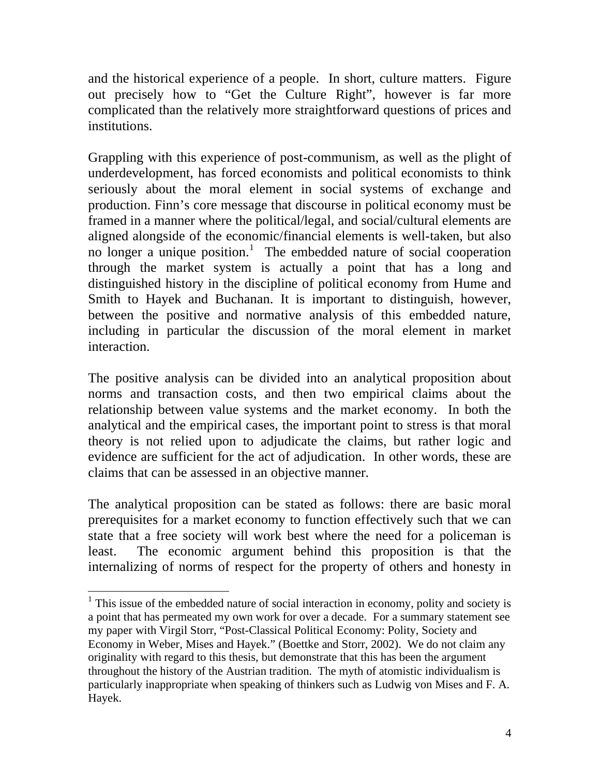and the historical experience of a people. In short, culture matters. Figure out precisely how to "Get the Culture Right", however is far more complicated than the relatively more straightforward questions of prices and institutions.

Grappling with this experience of post-communism, as well as the plight of underdevelopment, has forced economists and political economists to think seriously about the moral element in social systems of exchange and production. Finn's core message that discourse in political economy must be framed in a manner where the political/legal, and social/cultural elements are aligned alongside of the economic/financial elements is well-taken, but also no longer a unique position.<sup>1</sup> The embedded nature of social cooperation through the market system is actually a point that has a long and distinguished history in the discipline of political economy from Hume and Smith to Hayek and Buchanan. It is important to distinguish, however, between the positive and normative analysis of this embedded nature, including in particular the discussion of the moral element in market interaction.

The positive analysis can be divided into an analytical proposition about norms and transaction costs, and then two empirical claims about the relationship between value systems and the market economy. In both the analytical and the empirical cases, the important point to stress is that moral theory is not relied upon to adjudicate the claims, but rather logic and evidence are sufficient for the act of adjudication. In other words, these are claims that can be assessed in an objective manner.

The analytical proposition can be stated as follows: there are basic moral prerequisites for a market economy to function effectively such that we can state that a free society will work best where the need for a policeman is least. The economic argument behind this proposition is that the internalizing of norms of respect for the property of others and honesty in

 $\overline{a}$ 

 $<sup>1</sup>$  This issue of the embedded nature of social interaction in economy, polity and society is</sup> a point that has permeated my own work for over a decade. For a summary statement see my paper with Virgil Storr, "Post-Classical Political Economy: Polity, Society and Economy in Weber, Mises and Hayek." (Boettke and Storr, 2002). We do not claim any originality with regard to this thesis, but demonstrate that this has been the argument throughout the history of the Austrian tradition. The myth of atomistic individualism is particularly inappropriate when speaking of thinkers such as Ludwig von Mises and F. A. Hayek.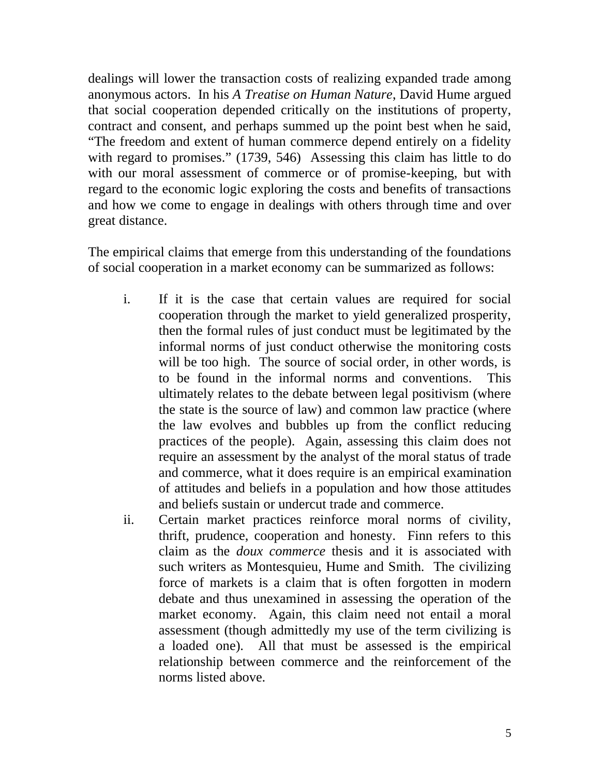dealings will lower the transaction costs of realizing expanded trade among anonymous actors. In his *A Treatise on Human Nature*, David Hume argued that social cooperation depended critically on the institutions of property, contract and consent, and perhaps summed up the point best when he said, "The freedom and extent of human commerce depend entirely on a fidelity with regard to promises." (1739, 546) Assessing this claim has little to do with our moral assessment of commerce or of promise-keeping, but with regard to the economic logic exploring the costs and benefits of transactions and how we come to engage in dealings with others through time and over great distance.

The empirical claims that emerge from this understanding of the foundations of social cooperation in a market economy can be summarized as follows:

- i. If it is the case that certain values are required for social cooperation through the market to yield generalized prosperity, then the formal rules of just conduct must be legitimated by the informal norms of just conduct otherwise the monitoring costs will be too high. The source of social order, in other words, is to be found in the informal norms and conventions. This ultimately relates to the debate between legal positivism (where the state is the source of law) and common law practice (where the law evolves and bubbles up from the conflict reducing practices of the people). Again, assessing this claim does not require an assessment by the analyst of the moral status of trade and commerce, what it does require is an empirical examination of attitudes and beliefs in a population and how those attitudes and beliefs sustain or undercut trade and commerce.
- ii. Certain market practices reinforce moral norms of civility, thrift, prudence, cooperation and honesty. Finn refers to this claim as the *doux commerce* thesis and it is associated with such writers as Montesquieu, Hume and Smith. The civilizing force of markets is a claim that is often forgotten in modern debate and thus unexamined in assessing the operation of the market economy. Again, this claim need not entail a moral assessment (though admittedly my use of the term civilizing is a loaded one). All that must be assessed is the empirical relationship between commerce and the reinforcement of the norms listed above.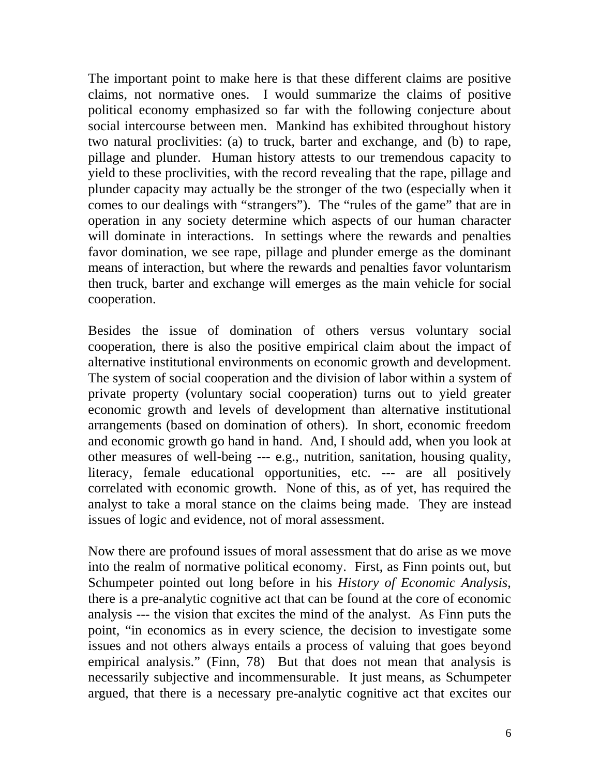The important point to make here is that these different claims are positive claims, not normative ones. I would summarize the claims of positive political economy emphasized so far with the following conjecture about social intercourse between men. Mankind has exhibited throughout history two natural proclivities: (a) to truck, barter and exchange, and (b) to rape, pillage and plunder. Human history attests to our tremendous capacity to yield to these proclivities, with the record revealing that the rape, pillage and plunder capacity may actually be the stronger of the two (especially when it comes to our dealings with "strangers"). The "rules of the game" that are in operation in any society determine which aspects of our human character will dominate in interactions. In settings where the rewards and penalties favor domination, we see rape, pillage and plunder emerge as the dominant means of interaction, but where the rewards and penalties favor voluntarism then truck, barter and exchange will emerges as the main vehicle for social cooperation.

Besides the issue of domination of others versus voluntary social cooperation, there is also the positive empirical claim about the impact of alternative institutional environments on economic growth and development. The system of social cooperation and the division of labor within a system of private property (voluntary social cooperation) turns out to yield greater economic growth and levels of development than alternative institutional arrangements (based on domination of others). In short, economic freedom and economic growth go hand in hand. And, I should add, when you look at other measures of well-being --- e.g., nutrition, sanitation, housing quality, literacy, female educational opportunities, etc. --- are all positively correlated with economic growth. None of this, as of yet, has required the analyst to take a moral stance on the claims being made. They are instead issues of logic and evidence, not of moral assessment.

Now there are profound issues of moral assessment that do arise as we move into the realm of normative political economy. First, as Finn points out, but Schumpeter pointed out long before in his *History of Economic Analysis*, there is a pre-analytic cognitive act that can be found at the core of economic analysis --- the vision that excites the mind of the analyst. As Finn puts the point, "in economics as in every science, the decision to investigate some issues and not others always entails a process of valuing that goes beyond empirical analysis." (Finn, 78) But that does not mean that analysis is necessarily subjective and incommensurable. It just means, as Schumpeter argued, that there is a necessary pre-analytic cognitive act that excites our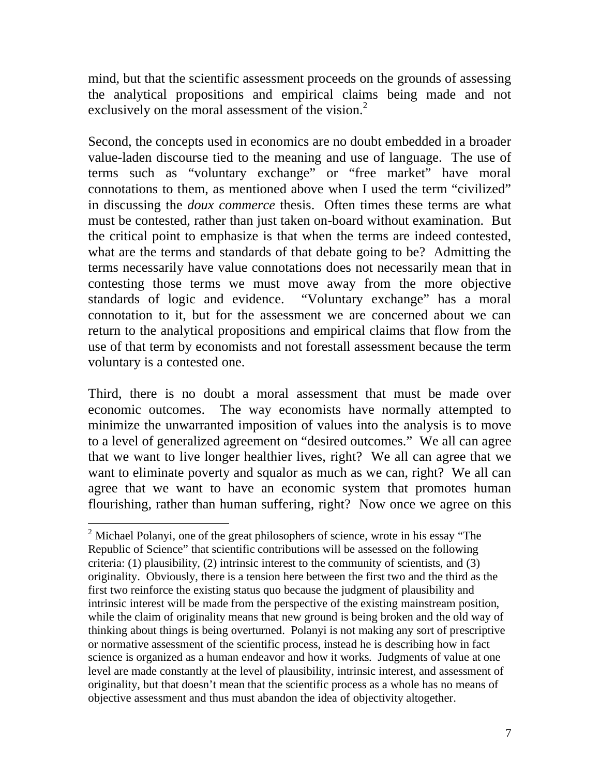mind, but that the scientific assessment proceeds on the grounds of assessing the analytical propositions and empirical claims being made and not exclusively on the moral assessment of the vision. $<sup>2</sup>$ </sup>

Second, the concepts used in economics are no doubt embedded in a broader value-laden discourse tied to the meaning and use of language. The use of terms such as "voluntary exchange" or "free market" have moral connotations to them, as mentioned above when I used the term "civilized" in discussing the *doux commerce* thesis. Often times these terms are what must be contested, rather than just taken on-board without examination. But the critical point to emphasize is that when the terms are indeed contested, what are the terms and standards of that debate going to be? Admitting the terms necessarily have value connotations does not necessarily mean that in contesting those terms we must move away from the more objective standards of logic and evidence. "Voluntary exchange" has a moral connotation to it, but for the assessment we are concerned about we can return to the analytical propositions and empirical claims that flow from the use of that term by economists and not forestall assessment because the term voluntary is a contested one.

Third, there is no doubt a moral assessment that must be made over economic outcomes. The way economists have normally attempted to minimize the unwarranted imposition of values into the analysis is to move to a level of generalized agreement on "desired outcomes." We all can agree that we want to live longer healthier lives, right? We all can agree that we want to eliminate poverty and squalor as much as we can, right? We all can agree that we want to have an economic system that promotes human flourishing, rather than human suffering, right? Now once we agree on this

 $\overline{a}$ 

<sup>&</sup>lt;sup>2</sup> Michael Polanyi, one of the great philosophers of science, wrote in his essay "The Republic of Science" that scientific contributions will be assessed on the following criteria: (1) plausibility, (2) intrinsic interest to the community of scientists, and (3) originality. Obviously, there is a tension here between the first two and the third as the first two reinforce the existing status quo because the judgment of plausibility and intrinsic interest will be made from the perspective of the existing mainstream position, while the claim of originality means that new ground is being broken and the old way of thinking about things is being overturned. Polanyi is not making any sort of prescriptive or normative assessment of the scientific process, instead he is describing how in fact science is organized as a human endeavor and how it works. Judgments of value at one level are made constantly at the level of plausibility, intrinsic interest, and assessment of originality, but that doesn't mean that the scientific process as a whole has no means of objective assessment and thus must abandon the idea of objectivity altogether.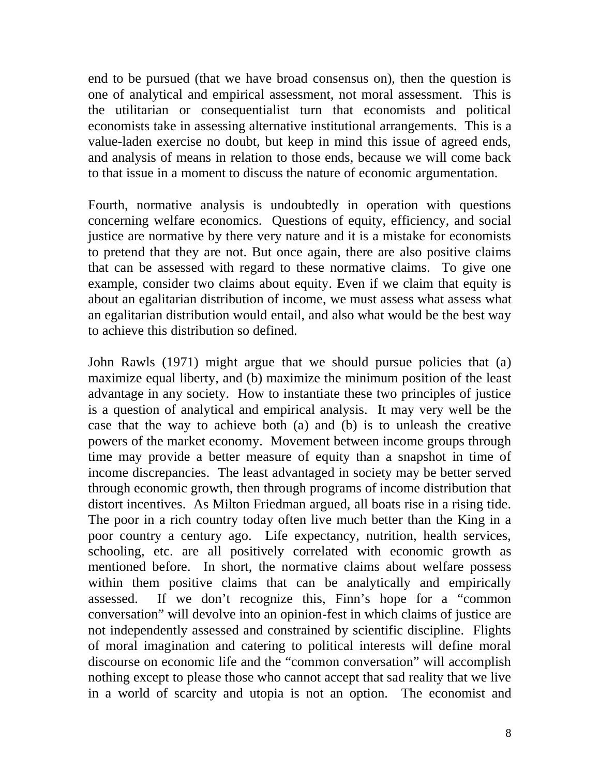end to be pursued (that we have broad consensus on), then the question is one of analytical and empirical assessment, not moral assessment. This is the utilitarian or consequentialist turn that economists and political economists take in assessing alternative institutional arrangements. This is a value-laden exercise no doubt, but keep in mind this issue of agreed ends, and analysis of means in relation to those ends, because we will come back to that issue in a moment to discuss the nature of economic argumentation.

Fourth, normative analysis is undoubtedly in operation with questions concerning welfare economics. Questions of equity, efficiency, and social justice are normative by there very nature and it is a mistake for economists to pretend that they are not. But once again, there are also positive claims that can be assessed with regard to these normative claims. To give one example, consider two claims about equity. Even if we claim that equity is about an egalitarian distribution of income, we must assess what assess what an egalitarian distribution would entail, and also what would be the best way to achieve this distribution so defined.

John Rawls (1971) might argue that we should pursue policies that (a) maximize equal liberty, and (b) maximize the minimum position of the least advantage in any society. How to instantiate these two principles of justice is a question of analytical and empirical analysis. It may very well be the case that the way to achieve both (a) and (b) is to unleash the creative powers of the market economy. Movement between income groups through time may provide a better measure of equity than a snapshot in time of income discrepancies. The least advantaged in society may be better served through economic growth, then through programs of income distribution that distort incentives. As Milton Friedman argued, all boats rise in a rising tide. The poor in a rich country today often live much better than the King in a poor country a century ago. Life expectancy, nutrition, health services, schooling, etc. are all positively correlated with economic growth as mentioned before. In short, the normative claims about welfare possess within them positive claims that can be analytically and empirically assessed. If we don't recognize this, Finn's hope for a "common conversation" will devolve into an opinion-fest in which claims of justice are not independently assessed and constrained by scientific discipline. Flights of moral imagination and catering to political interests will define moral discourse on economic life and the "common conversation" will accomplish nothing except to please those who cannot accept that sad reality that we live in a world of scarcity and utopia is not an option. The economist and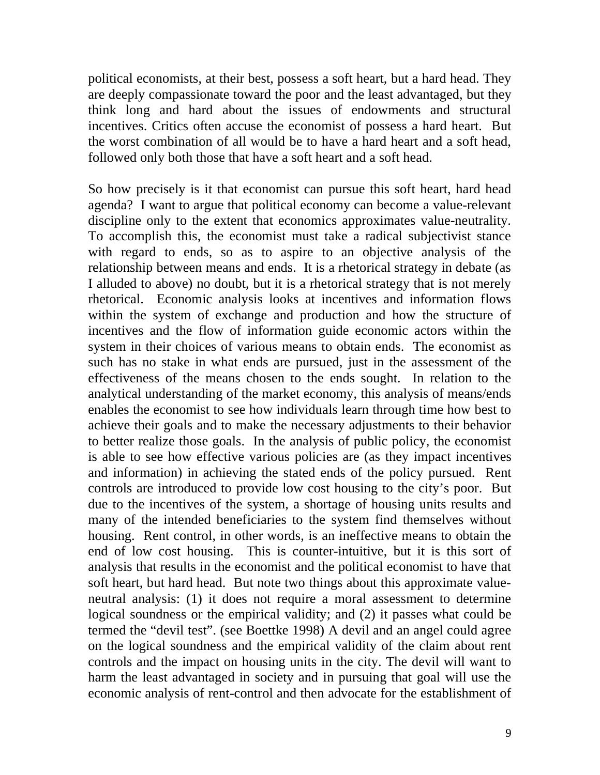political economists, at their best, possess a soft heart, but a hard head. They are deeply compassionate toward the poor and the least advantaged, but they think long and hard about the issues of endowments and structural incentives. Critics often accuse the economist of possess a hard heart. But the worst combination of all would be to have a hard heart and a soft head, followed only both those that have a soft heart and a soft head.

So how precisely is it that economist can pursue this soft heart, hard head agenda? I want to argue that political economy can become a value-relevant discipline only to the extent that economics approximates value-neutrality. To accomplish this, the economist must take a radical subjectivist stance with regard to ends, so as to aspire to an objective analysis of the relationship between means and ends. It is a rhetorical strategy in debate (as I alluded to above) no doubt, but it is a rhetorical strategy that is not merely rhetorical. Economic analysis looks at incentives and information flows within the system of exchange and production and how the structure of incentives and the flow of information guide economic actors within the system in their choices of various means to obtain ends. The economist as such has no stake in what ends are pursued, just in the assessment of the effectiveness of the means chosen to the ends sought. In relation to the analytical understanding of the market economy, this analysis of means/ends enables the economist to see how individuals learn through time how best to achieve their goals and to make the necessary adjustments to their behavior to better realize those goals. In the analysis of public policy, the economist is able to see how effective various policies are (as they impact incentives and information) in achieving the stated ends of the policy pursued. Rent controls are introduced to provide low cost housing to the city's poor. But due to the incentives of the system, a shortage of housing units results and many of the intended beneficiaries to the system find themselves without housing. Rent control, in other words, is an ineffective means to obtain the end of low cost housing. This is counter-intuitive, but it is this sort of analysis that results in the economist and the political economist to have that soft heart, but hard head. But note two things about this approximate valueneutral analysis: (1) it does not require a moral assessment to determine logical soundness or the empirical validity; and (2) it passes what could be termed the "devil test". (see Boettke 1998) A devil and an angel could agree on the logical soundness and the empirical validity of the claim about rent controls and the impact on housing units in the city. The devil will want to harm the least advantaged in society and in pursuing that goal will use the economic analysis of rent-control and then advocate for the establishment of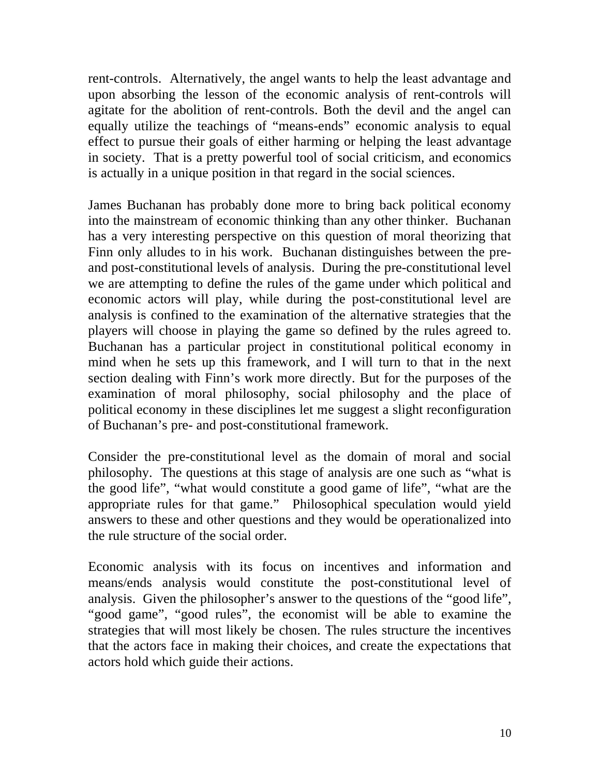rent-controls. Alternatively, the angel wants to help the least advantage and upon absorbing the lesson of the economic analysis of rent-controls will agitate for the abolition of rent-controls. Both the devil and the angel can equally utilize the teachings of "means-ends" economic analysis to equal effect to pursue their goals of either harming or helping the least advantage in society. That is a pretty powerful tool of social criticism, and economics is actually in a unique position in that regard in the social sciences.

James Buchanan has probably done more to bring back political economy into the mainstream of economic thinking than any other thinker. Buchanan has a very interesting perspective on this question of moral theorizing that Finn only alludes to in his work. Buchanan distinguishes between the preand post-constitutional levels of analysis. During the pre-constitutional level we are attempting to define the rules of the game under which political and economic actors will play, while during the post-constitutional level are analysis is confined to the examination of the alternative strategies that the players will choose in playing the game so defined by the rules agreed to. Buchanan has a particular project in constitutional political economy in mind when he sets up this framework, and I will turn to that in the next section dealing with Finn's work more directly. But for the purposes of the examination of moral philosophy, social philosophy and the place of political economy in these disciplines let me suggest a slight reconfiguration of Buchanan's pre- and post-constitutional framework.

Consider the pre-constitutional level as the domain of moral and social philosophy. The questions at this stage of analysis are one such as "what is the good life", "what would constitute a good game of life", "what are the appropriate rules for that game." Philosophical speculation would yield answers to these and other questions and they would be operationalized into the rule structure of the social order.

Economic analysis with its focus on incentives and information and means/ends analysis would constitute the post-constitutional level of analysis. Given the philosopher's answer to the questions of the "good life", "good game", "good rules", the economist will be able to examine the strategies that will most likely be chosen. The rules structure the incentives that the actors face in making their choices, and create the expectations that actors hold which guide their actions.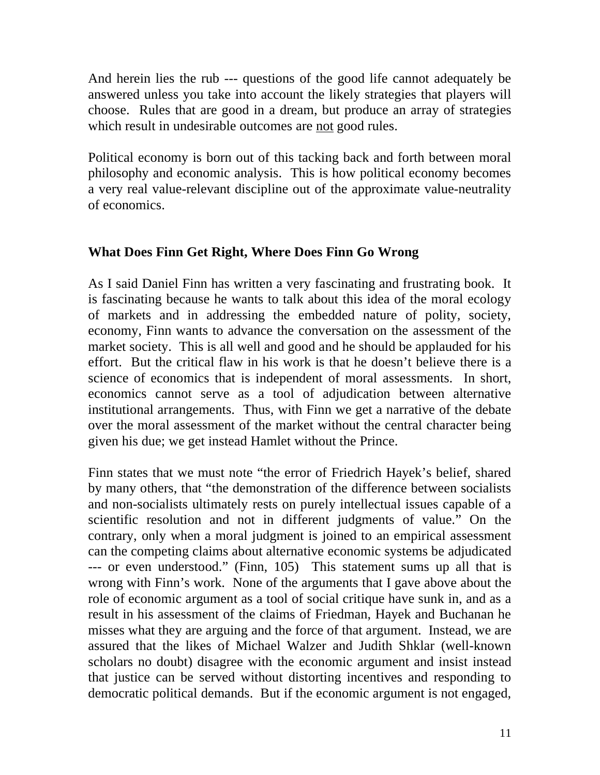And herein lies the rub --- questions of the good life cannot adequately be answered unless you take into account the likely strategies that players will choose. Rules that are good in a dream, but produce an array of strategies which result in undesirable outcomes are not good rules.

Political economy is born out of this tacking back and forth between moral philosophy and economic analysis. This is how political economy becomes a very real value-relevant discipline out of the approximate value-neutrality of economics.

## **What Does Finn Get Right, Where Does Finn Go Wrong**

As I said Daniel Finn has written a very fascinating and frustrating book. It is fascinating because he wants to talk about this idea of the moral ecology of markets and in addressing the embedded nature of polity, society, economy, Finn wants to advance the conversation on the assessment of the market society. This is all well and good and he should be applauded for his effort. But the critical flaw in his work is that he doesn't believe there is a science of economics that is independent of moral assessments. In short, economics cannot serve as a tool of adjudication between alternative institutional arrangements. Thus, with Finn we get a narrative of the debate over the moral assessment of the market without the central character being given his due; we get instead Hamlet without the Prince.

Finn states that we must note "the error of Friedrich Hayek's belief, shared by many others, that "the demonstration of the difference between socialists and non-socialists ultimately rests on purely intellectual issues capable of a scientific resolution and not in different judgments of value." On the contrary, only when a moral judgment is joined to an empirical assessment can the competing claims about alternative economic systems be adjudicated --- or even understood." (Finn, 105) This statement sums up all that is wrong with Finn's work. None of the arguments that I gave above about the role of economic argument as a tool of social critique have sunk in, and as a result in his assessment of the claims of Friedman, Hayek and Buchanan he misses what they are arguing and the force of that argument. Instead, we are assured that the likes of Michael Walzer and Judith Shklar (well-known scholars no doubt) disagree with the economic argument and insist instead that justice can be served without distorting incentives and responding to democratic political demands. But if the economic argument is not engaged,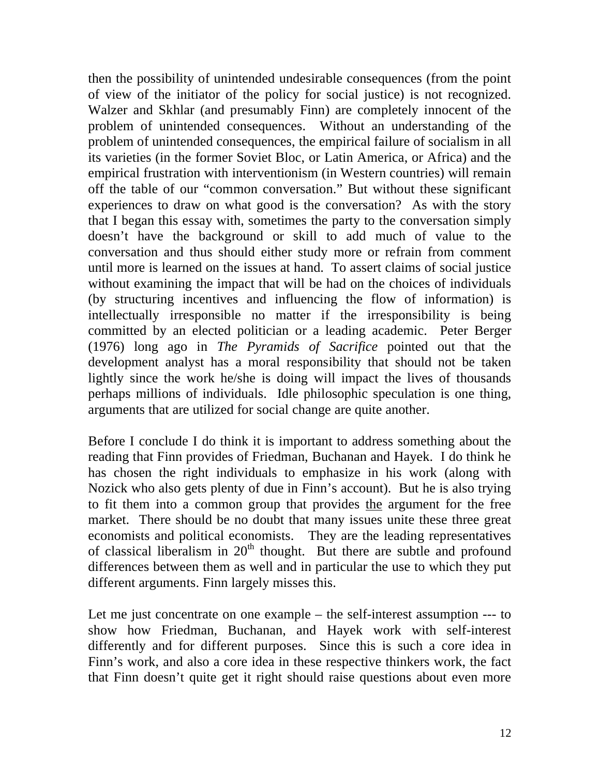then the possibility of unintended undesirable consequences (from the point of view of the initiator of the policy for social justice) is not recognized. Walzer and Skhlar (and presumably Finn) are completely innocent of the problem of unintended consequences. Without an understanding of the problem of unintended consequences, the empirical failure of socialism in all its varieties (in the former Soviet Bloc, or Latin America, or Africa) and the empirical frustration with interventionism (in Western countries) will remain off the table of our "common conversation." But without these significant experiences to draw on what good is the conversation? As with the story that I began this essay with, sometimes the party to the conversation simply doesn't have the background or skill to add much of value to the conversation and thus should either study more or refrain from comment until more is learned on the issues at hand. To assert claims of social justice without examining the impact that will be had on the choices of individuals (by structuring incentives and influencing the flow of information) is intellectually irresponsible no matter if the irresponsibility is being committed by an elected politician or a leading academic. Peter Berger (1976) long ago in *The Pyramids of Sacrifice* pointed out that the development analyst has a moral responsibility that should not be taken lightly since the work he/she is doing will impact the lives of thousands perhaps millions of individuals. Idle philosophic speculation is one thing, arguments that are utilized for social change are quite another.

Before I conclude I do think it is important to address something about the reading that Finn provides of Friedman, Buchanan and Hayek. I do think he has chosen the right individuals to emphasize in his work (along with Nozick who also gets plenty of due in Finn's account). But he is also trying to fit them into a common group that provides the argument for the free market. There should be no doubt that many issues unite these three great economists and political economists. They are the leading representatives of classical liberalism in  $20<sup>th</sup>$  thought. But there are subtle and profound differences between them as well and in particular the use to which they put different arguments. Finn largely misses this.

Let me just concentrate on one example – the self-interest assumption --- to show how Friedman, Buchanan, and Hayek work with self-interest differently and for different purposes. Since this is such a core idea in Finn's work, and also a core idea in these respective thinkers work, the fact that Finn doesn't quite get it right should raise questions about even more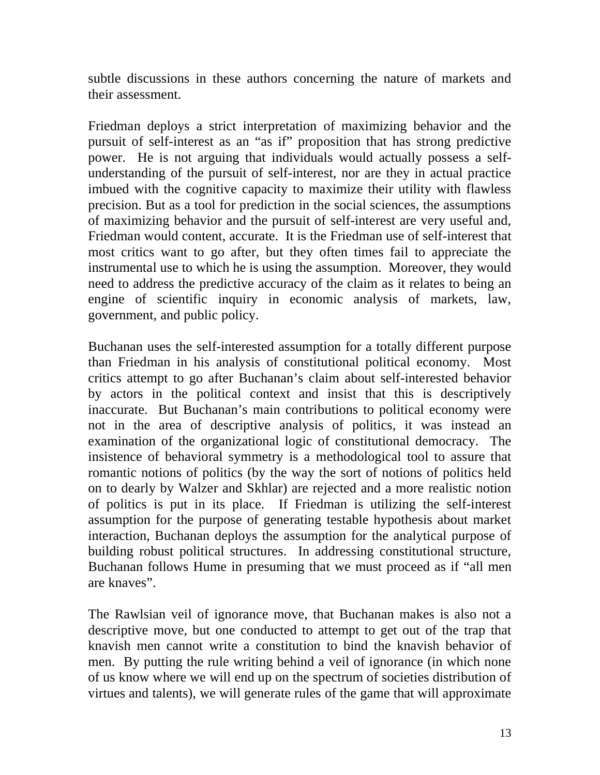subtle discussions in these authors concerning the nature of markets and their assessment.

Friedman deploys a strict interpretation of maximizing behavior and the pursuit of self-interest as an "as if" proposition that has strong predictive power. He is not arguing that individuals would actually possess a selfunderstanding of the pursuit of self-interest, nor are they in actual practice imbued with the cognitive capacity to maximize their utility with flawless precision. But as a tool for prediction in the social sciences, the assumptions of maximizing behavior and the pursuit of self-interest are very useful and, Friedman would content, accurate. It is the Friedman use of self-interest that most critics want to go after, but they often times fail to appreciate the instrumental use to which he is using the assumption. Moreover, they would need to address the predictive accuracy of the claim as it relates to being an engine of scientific inquiry in economic analysis of markets, law, government, and public policy.

Buchanan uses the self-interested assumption for a totally different purpose than Friedman in his analysis of constitutional political economy. Most critics attempt to go after Buchanan's claim about self-interested behavior by actors in the political context and insist that this is descriptively inaccurate. But Buchanan's main contributions to political economy were not in the area of descriptive analysis of politics, it was instead an examination of the organizational logic of constitutional democracy. The insistence of behavioral symmetry is a methodological tool to assure that romantic notions of politics (by the way the sort of notions of politics held on to dearly by Walzer and Skhlar) are rejected and a more realistic notion of politics is put in its place. If Friedman is utilizing the self-interest assumption for the purpose of generating testable hypothesis about market interaction, Buchanan deploys the assumption for the analytical purpose of building robust political structures. In addressing constitutional structure, Buchanan follows Hume in presuming that we must proceed as if "all men are knaves".

The Rawlsian veil of ignorance move, that Buchanan makes is also not a descriptive move, but one conducted to attempt to get out of the trap that knavish men cannot write a constitution to bind the knavish behavior of men. By putting the rule writing behind a veil of ignorance (in which none of us know where we will end up on the spectrum of societies distribution of virtues and talents), we will generate rules of the game that will approximate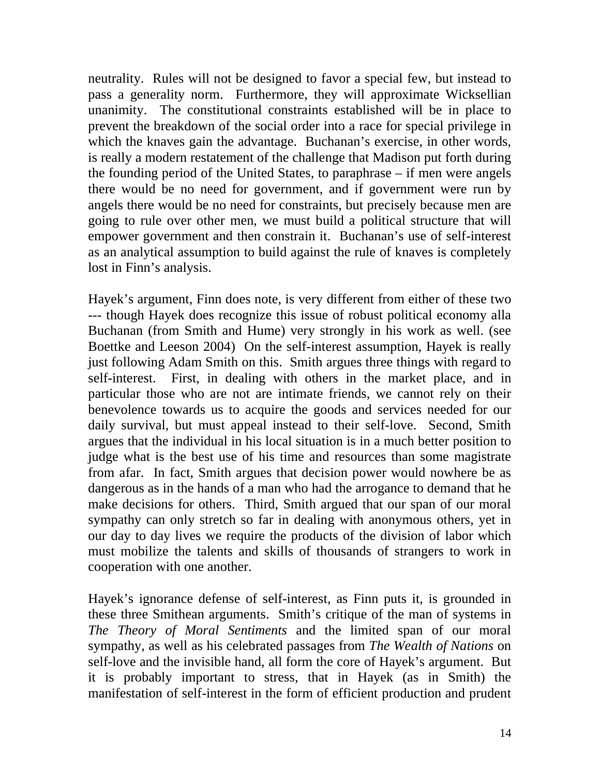neutrality. Rules will not be designed to favor a special few, but instead to pass a generality norm. Furthermore, they will approximate Wicksellian unanimity. The constitutional constraints established will be in place to prevent the breakdown of the social order into a race for special privilege in which the knaves gain the advantage. Buchanan's exercise, in other words, is really a modern restatement of the challenge that Madison put forth during the founding period of the United States, to paraphrase – if men were angels there would be no need for government, and if government were run by angels there would be no need for constraints, but precisely because men are going to rule over other men, we must build a political structure that will empower government and then constrain it. Buchanan's use of self-interest as an analytical assumption to build against the rule of knaves is completely lost in Finn's analysis.

Hayek's argument, Finn does note, is very different from either of these two --- though Hayek does recognize this issue of robust political economy alla Buchanan (from Smith and Hume) very strongly in his work as well. (see Boettke and Leeson 2004) On the self-interest assumption, Hayek is really just following Adam Smith on this. Smith argues three things with regard to self-interest. First, in dealing with others in the market place, and in particular those who are not are intimate friends, we cannot rely on their benevolence towards us to acquire the goods and services needed for our daily survival, but must appeal instead to their self-love. Second, Smith argues that the individual in his local situation is in a much better position to judge what is the best use of his time and resources than some magistrate from afar. In fact, Smith argues that decision power would nowhere be as dangerous as in the hands of a man who had the arrogance to demand that he make decisions for others. Third, Smith argued that our span of our moral sympathy can only stretch so far in dealing with anonymous others, yet in our day to day lives we require the products of the division of labor which must mobilize the talents and skills of thousands of strangers to work in cooperation with one another.

Hayek's ignorance defense of self-interest, as Finn puts it, is grounded in these three Smithean arguments. Smith's critique of the man of systems in *The Theory of Moral Sentiments* and the limited span of our moral sympathy, as well as his celebrated passages from *The Wealth of Nations* on self-love and the invisible hand, all form the core of Hayek's argument. But it is probably important to stress, that in Hayek (as in Smith) the manifestation of self-interest in the form of efficient production and prudent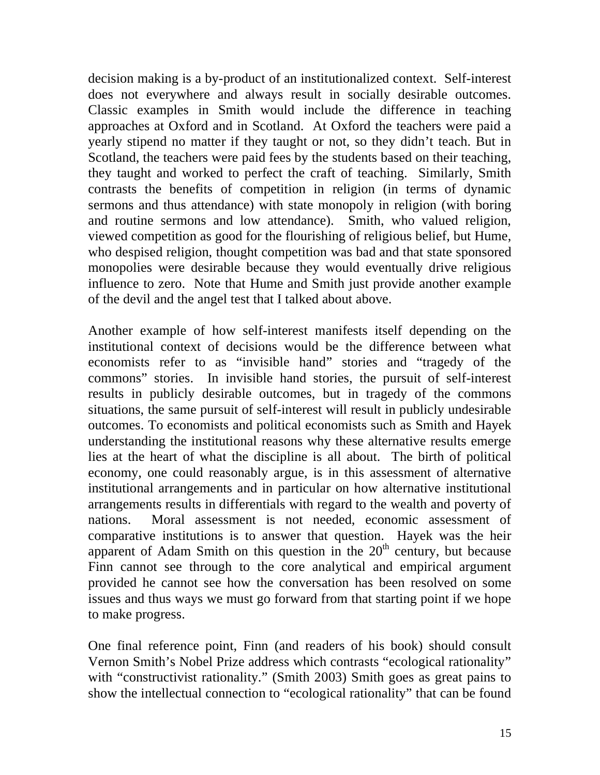decision making is a by-product of an institutionalized context. Self-interest does not everywhere and always result in socially desirable outcomes. Classic examples in Smith would include the difference in teaching approaches at Oxford and in Scotland. At Oxford the teachers were paid a yearly stipend no matter if they taught or not, so they didn't teach. But in Scotland, the teachers were paid fees by the students based on their teaching, they taught and worked to perfect the craft of teaching. Similarly, Smith contrasts the benefits of competition in religion (in terms of dynamic sermons and thus attendance) with state monopoly in religion (with boring and routine sermons and low attendance). Smith, who valued religion, viewed competition as good for the flourishing of religious belief, but Hume, who despised religion, thought competition was bad and that state sponsored monopolies were desirable because they would eventually drive religious influence to zero. Note that Hume and Smith just provide another example of the devil and the angel test that I talked about above.

Another example of how self-interest manifests itself depending on the institutional context of decisions would be the difference between what economists refer to as "invisible hand" stories and "tragedy of the commons" stories. In invisible hand stories, the pursuit of self-interest results in publicly desirable outcomes, but in tragedy of the commons situations, the same pursuit of self-interest will result in publicly undesirable outcomes. To economists and political economists such as Smith and Hayek understanding the institutional reasons why these alternative results emerge lies at the heart of what the discipline is all about. The birth of political economy, one could reasonably argue, is in this assessment of alternative institutional arrangements and in particular on how alternative institutional arrangements results in differentials with regard to the wealth and poverty of nations. Moral assessment is not needed, economic assessment of comparative institutions is to answer that question. Hayek was the heir apparent of Adam Smith on this question in the  $20<sup>th</sup>$  century, but because Finn cannot see through to the core analytical and empirical argument provided he cannot see how the conversation has been resolved on some issues and thus ways we must go forward from that starting point if we hope to make progress.

One final reference point, Finn (and readers of his book) should consult Vernon Smith's Nobel Prize address which contrasts "ecological rationality" with "constructivist rationality." (Smith 2003) Smith goes as great pains to show the intellectual connection to "ecological rationality" that can be found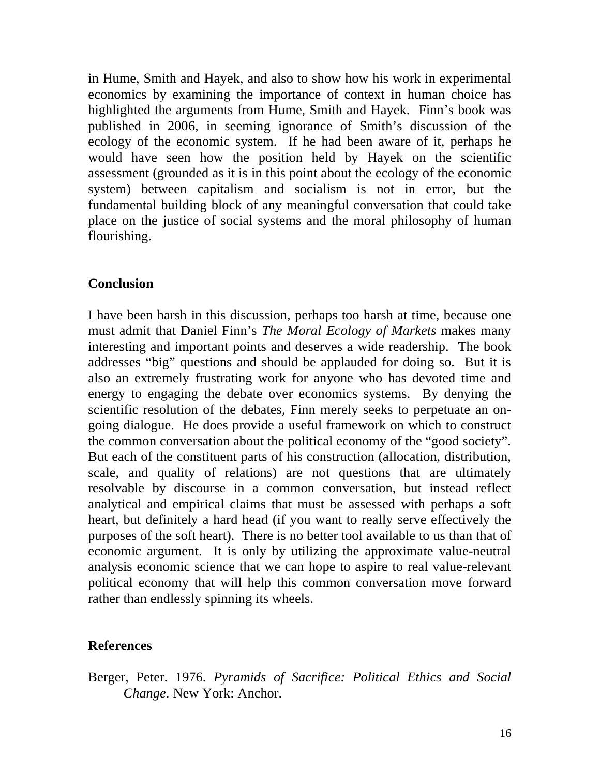in Hume, Smith and Hayek, and also to show how his work in experimental economics by examining the importance of context in human choice has highlighted the arguments from Hume, Smith and Hayek. Finn's book was published in 2006, in seeming ignorance of Smith's discussion of the ecology of the economic system. If he had been aware of it, perhaps he would have seen how the position held by Hayek on the scientific assessment (grounded as it is in this point about the ecology of the economic system) between capitalism and socialism is not in error, but the fundamental building block of any meaningful conversation that could take place on the justice of social systems and the moral philosophy of human flourishing.

## **Conclusion**

I have been harsh in this discussion, perhaps too harsh at time, because one must admit that Daniel Finn's *The Moral Ecology of Markets* makes many interesting and important points and deserves a wide readership. The book addresses "big" questions and should be applauded for doing so. But it is also an extremely frustrating work for anyone who has devoted time and energy to engaging the debate over economics systems. By denying the scientific resolution of the debates, Finn merely seeks to perpetuate an ongoing dialogue. He does provide a useful framework on which to construct the common conversation about the political economy of the "good society". But each of the constituent parts of his construction (allocation, distribution, scale, and quality of relations) are not questions that are ultimately resolvable by discourse in a common conversation, but instead reflect analytical and empirical claims that must be assessed with perhaps a soft heart, but definitely a hard head (if you want to really serve effectively the purposes of the soft heart). There is no better tool available to us than that of economic argument. It is only by utilizing the approximate value-neutral analysis economic science that we can hope to aspire to real value-relevant political economy that will help this common conversation move forward rather than endlessly spinning its wheels.

## **References**

Berger, Peter. 1976. *Pyramids of Sacrifice: Political Ethics and Social Change*. New York: Anchor.